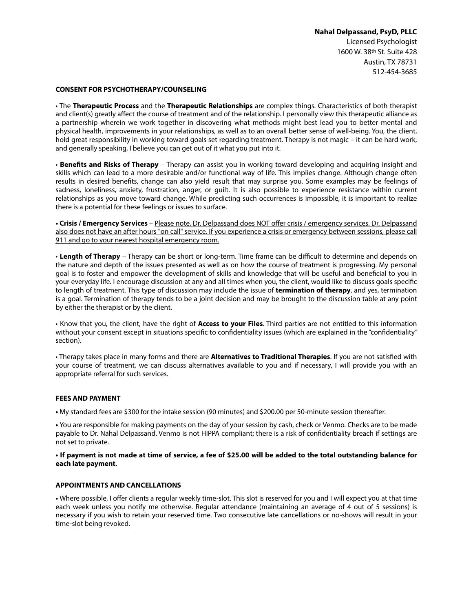## **Nahal Delpassand, PsyD, PLLC**

Licensed Psychologist 1600 W. 38th St. Suite 428 Austin, TX 78731 512-454-3685

#### **CONSENT FOR PSYCHOTHERAPY/COUNSELING**

• The **Therapeutic Process** and the **Therapeutic Relationships** are complex things. Characteristics of both therapist and client(s) greatly affect the course of treatment and of the relationship. I personally view this therapeutic alliance as a partnership wherein we work together in discovering what methods might best lead you to better mental and physical health, improvements in your relationships, as well as to an overall better sense of well-being. You, the client, hold great responsibility in working toward goals set regarding treatment. Therapy is not magic – it can be hard work, and generally speaking, I believe you can get out of it what you put into it.

• **Benefts and Risks of Therapy** – Therapy can assist you in working toward developing and acquiring insight and skills which can lead to a more desirable and/or functional way of life. This implies change. Although change often results in desired benefts, change can also yield result that may surprise you. Some examples may be feelings of sadness, loneliness, anxiety, frustration, anger, or guilt. It is also possible to experience resistance within current relationships as you move toward change. While predicting such occurrences is impossible, it is important to realize there is a potential for these feelings or issues to surface.

**• Crisis / Emergency Services** – Please note, Dr. Delpassand does NOT offer crisis / emergency services. Dr. Delpassand also does not have an after hours "on call" service. If you experience a crisis or emergency between sessions, please call 911 and go to your nearest hospital emergency room.

• **Length of Therapy** – Therapy can be short or long-term. Time frame can be difficult to determine and depends on the nature and depth of the issues presented as well as on how the course of treatment is progressing. My personal goal is to foster and empower the development of skills and knowledge that will be useful and benefcial to you in your everyday life. I encourage discussion at any and all times when you, the client, would like to discuss goals specifc to length of treatment. This type of discussion may include the issue of **termination of therapy**, and yes, termination is a goal. Termination of therapy tends to be a joint decision and may be brought to the discussion table at any point by either the therapist or by the client.

• Know that you, the client, have the right of **Access to your Files**. Third parties are not entitled to this information without your consent except in situations specific to confidentiality issues (which are explained in the "confidentiality" section).

• Therapy takes place in many forms and there are **Alternatives to Traditional Therapies**. If you are not satisfed with your course of treatment, we can discuss alternatives available to you and if necessary, I will provide you with an appropriate referral for such services.

## **FEES AND PAYMENT**

**•** My standard fees are \$300 for the intake session (90 minutes) and \$200.00 per 50-minute session thereafter.

**•** You are responsible for making payments on the day of your session by cash, check or Venmo. Checks are to be made payable to Dr. Nahal Delpassand. Venmo is not HIPPA compliant; there is a risk of confdentiality breach if settings are not set to private.

**• If payment is not made at time of service, a fee of \$25.00 will be added to the total outstanding balance for each late payment.**

## **APPOINTMENTS AND CANCELLATIONS**

**•** Where possible, I offer clients a regular weekly time-slot. This slot is reserved for you and I will expect you at that time each week unless you notify me otherwise. Regular attendance (maintaining an average of 4 out of 5 sessions) is necessary if you wish to retain your reserved time. Two consecutive late cancellations or no-shows will result in your time-slot being revoked.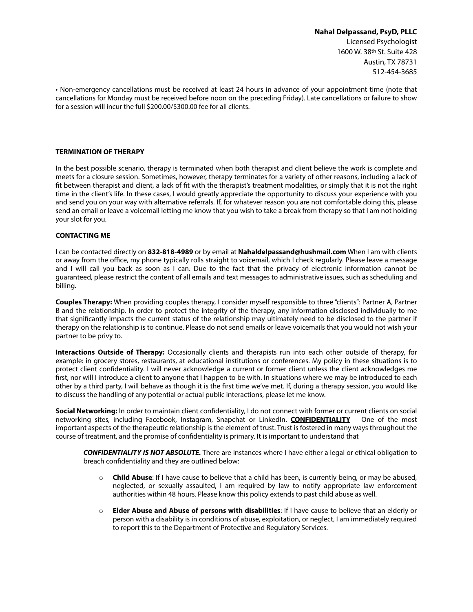# **Nahal Delpassand, PsyD, PLLC**  Licensed Psychologist 1600 W. 38th St. Suite 428 Austin, TX 78731 512-454-3685

• Non-emergency cancellations must be received at least 24 hours in advance of your appointment time (note that cancellations for Monday must be received before noon on the preceding Friday). Late cancellations or failure to show for a session will incur the full \$200.00/\$300.00 fee for all clients.

#### **TERMINATION OF THERAPY**

In the best possible scenario, therapy is terminated when both therapist and client believe the work is complete and meets for a closure session. Sometimes, however, therapy terminates for a variety of other reasons, including a lack of ft between therapist and client, a lack of ft with the therapist's treatment modalities, or simply that it is not the right time in the client's life. In these cases, I would greatly appreciate the opportunity to discuss your experience with you and send you on your way with alternative referrals. If, for whatever reason you are not comfortable doing this, please send an email or leave a voicemail letting me know that you wish to take a break from therapy so that I am not holding your slot for you.

#### **CONTACTING ME**

I can be contacted directly on **832-818-4989** or by email at **Nahaldelpassand@hushmail.com** When I am with clients or away from the office, my phone typically rolls straight to voicemail, which I check regularly. Please leave a message and I will call you back as soon as I can. Due to the fact that the privacy of electronic information cannot be guaranteed, please restrict the content of all emails and text messages to administrative issues, such as scheduling and billing.

**Couples Therapy:** When providing couples therapy, I consider myself responsible to three "clients": Partner A, Partner B and the relationship. In order to protect the integrity of the therapy, any information disclosed individually to me that signifcantly impacts the current status of the relationship may ultimately need to be disclosed to the partner if therapy on the relationship is to continue. Please do not send emails or leave voicemails that you would not wish your partner to be privy to.

**Interactions Outside of Therapy:** Occasionally clients and therapists run into each other outside of therapy, for example: in grocery stores, restaurants, at educational institutions or conferences. My policy in these situations is to protect client confdentiality. I will never acknowledge a current or former client unless the client acknowledges me first, nor will I introduce a client to anyone that I happen to be with. In situations where we may be introduced to each other by a third party, I will behave as though it is the frst time we've met. If, during a therapy session, you would like to discuss the handling of any potential or actual public interactions, please let me know.

**Social Networking:** In order to maintain client confdentiality, I do not connect with former or current clients on social networking sites, including Facebook, Instagram, Snapchat or LinkedIn. **CONFIDENTIALITY** – One of the most important aspects of the therapeutic relationship is the element of trust. Trust is fostered in many ways throughout the course of treatment, and the promise of confdentiality is primary. It is important to understand that

*CONFIDENTIALITY IS NOT ABSOLUTE.* There are instances where I have either a legal or ethical obligation to breach confdentiality and they are outlined below:

- o **Child Abuse**: If I have cause to believe that a child has been, is currently being, or may be abused, neglected, or sexually assaulted, I am required by law to notify appropriate law enforcement authorities within 48 hours. Please know this policy extends to past child abuse as well.
- o **Elder Abuse and Abuse of persons with disabilities**: If I have cause to believe that an elderly or person with a disability is in conditions of abuse, exploitation, or neglect, I am immediately required to report this to the Department of Protective and Regulatory Services.